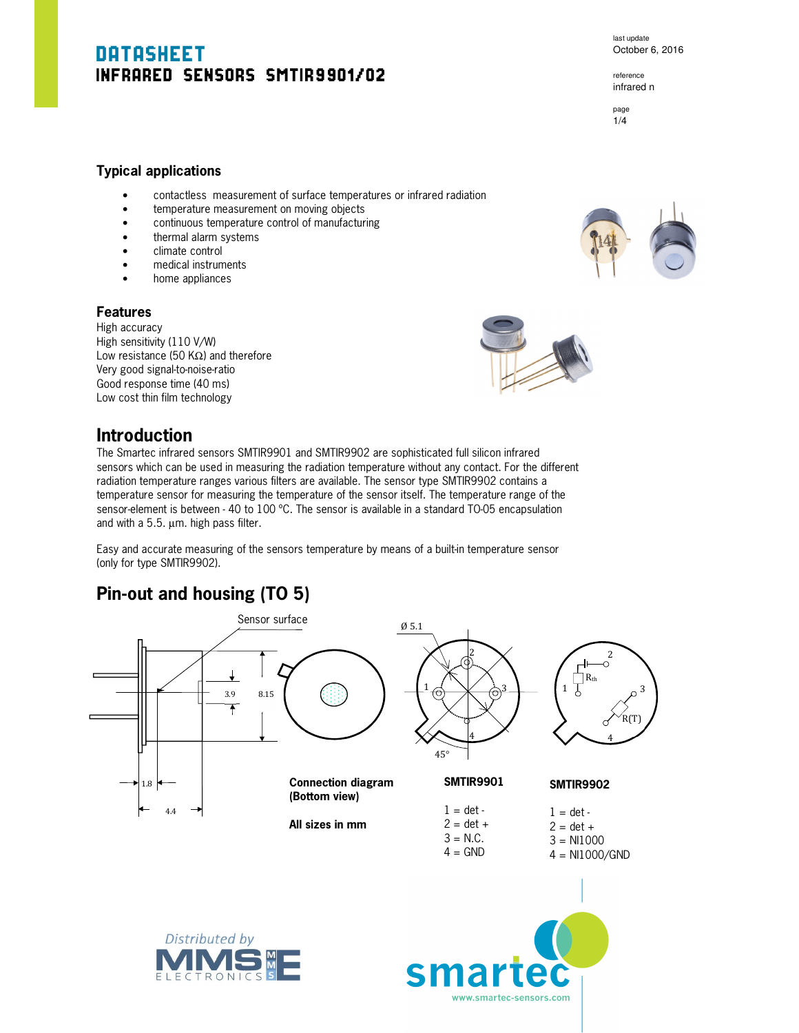# DATASHEET INFRARED SENSORS SMTIR9901/02

last update October 6, 2016

reference infrared n



#### **Typical applications**

- contactless measurement of surface temperatures or infrared radiation
- temperature measurement on moving objects
- continuous temperature control of manufacturing
- thermal alarm systems
- climate control
- medical instruments
- home appliances

#### **Features**

High accuracy High sensitivity (110 V/W) Low resistance (50 KΩ) and therefore Very good signal-to-noise-ratio Good response time (40 ms) Low cost thin film technology



### **Introduction**

The Smartec infrared sensors SMTIR9901 and SMTIR9902 are sophisticated full silicon infrared sensors which can be used in measuring the radiation temperature without any contact. For the different radiation temperature ranges various filters are available. The sensor type SMTIR9902 contains a temperature sensor for measuring the temperature of the sensor itself. The temperature range of the sensor-element is between - 40 to 100 °C. The sensor is available in a standard TO-05 encapsulation and with a  $5.5. \mu m$ . high pass filter.

Easy and accurate measuring of the sensors temperature by means of a built-in temperature sensor (only for type SMTIR9902).

# **Pin-out and housing (TO 5)**

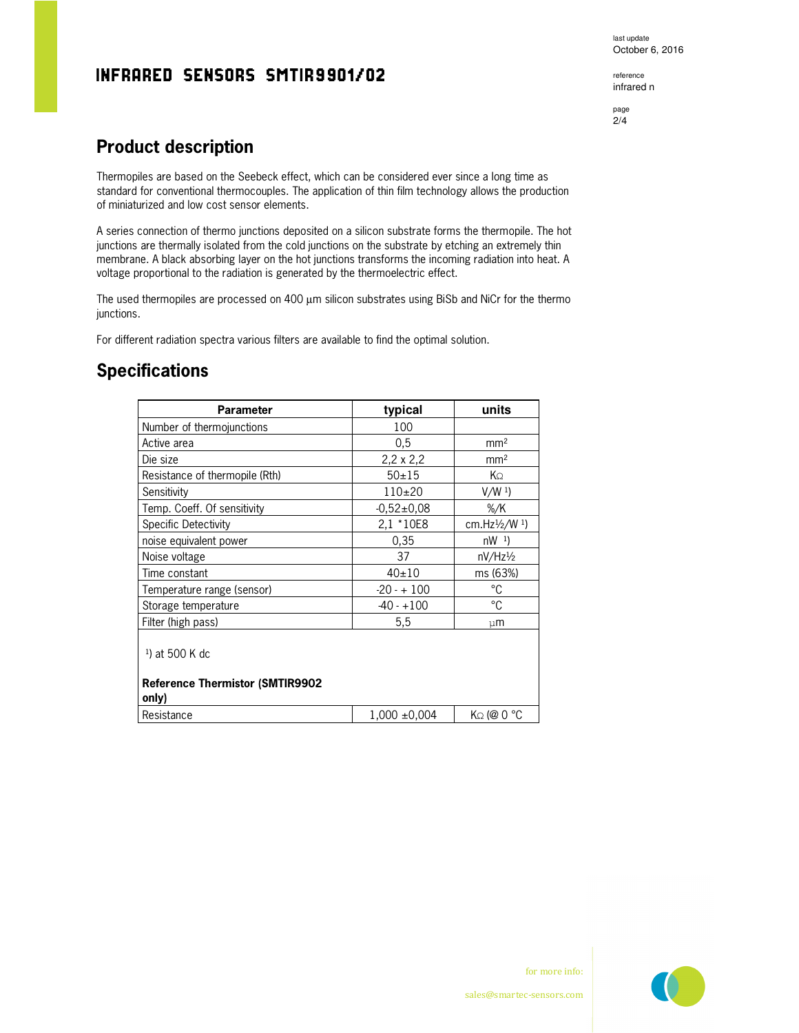last update October 6, 2016

### INFRARED SENSORS SMTIR9901/02

reference infrared n

page 2/4

# **Product description**

Thermopiles are based on the Seebeck effect, which can be considered ever since a long time as standard for conventional thermocouples. The application of thin film technology allows the production of miniaturized and low cost sensor elements.

A series connection of thermo junctions deposited on a silicon substrate forms the thermopile. The hot junctions are thermally isolated from the cold junctions on the substrate by etching an extremely thin membrane. A black absorbing layer on the hot junctions transforms the incoming radiation into heat. A voltage proportional to the radiation is generated by the thermoelectric effect.

The used thermopiles are processed on 400  $\mu$ m silicon substrates using BiSb and NiCr for the thermo junctions.

For different radiation spectra various filters are available to find the optimal solution.

### **Specifications**

| <b>Parameter</b>                                                    | typical           | units                                 |
|---------------------------------------------------------------------|-------------------|---------------------------------------|
| Number of thermojunctions                                           | 100               |                                       |
| Active area                                                         | 0,5               | mm <sup>2</sup>                       |
| Die size                                                            | $2,2 \times 2,2$  | mm <sup>2</sup>                       |
| Resistance of thermopile (Rth)                                      | $50 + 15$         | KΩ                                    |
| Sensitivity                                                         | $110+20$          | V/W <sup>1</sup>                      |
| Temp. Coeff. Of sensitivity                                         | $-0.52+0.08$      | $\frac{\%}{K}$                        |
| <b>Specific Detectivity</b>                                         | 2.1 *10E8         | cm.Hz $\frac{1}{2}$ /W <sup>1</sup> ) |
| noise equivalent power                                              | 0,35              | nW <sup>1</sup>                       |
| Noise voltage                                                       | 37                | $nV/Hz\frac{1}{2}$                    |
| Time constant                                                       | $40+10$           | ms (63%)                              |
| Temperature range (sensor)                                          | $-20 - + 100$     | °C                                    |
| Storage temperature                                                 | $-40 - +100$      | °C                                    |
| Filter (high pass)                                                  | 5,5               | μm                                    |
| $1)$ at 500 K dc<br><b>Reference Thermistor (SMTIR9902</b><br>only) |                   |                                       |
| Resistance                                                          | $1,000 \pm 0,004$ | KΩ (@ 0 °C                            |



for more info: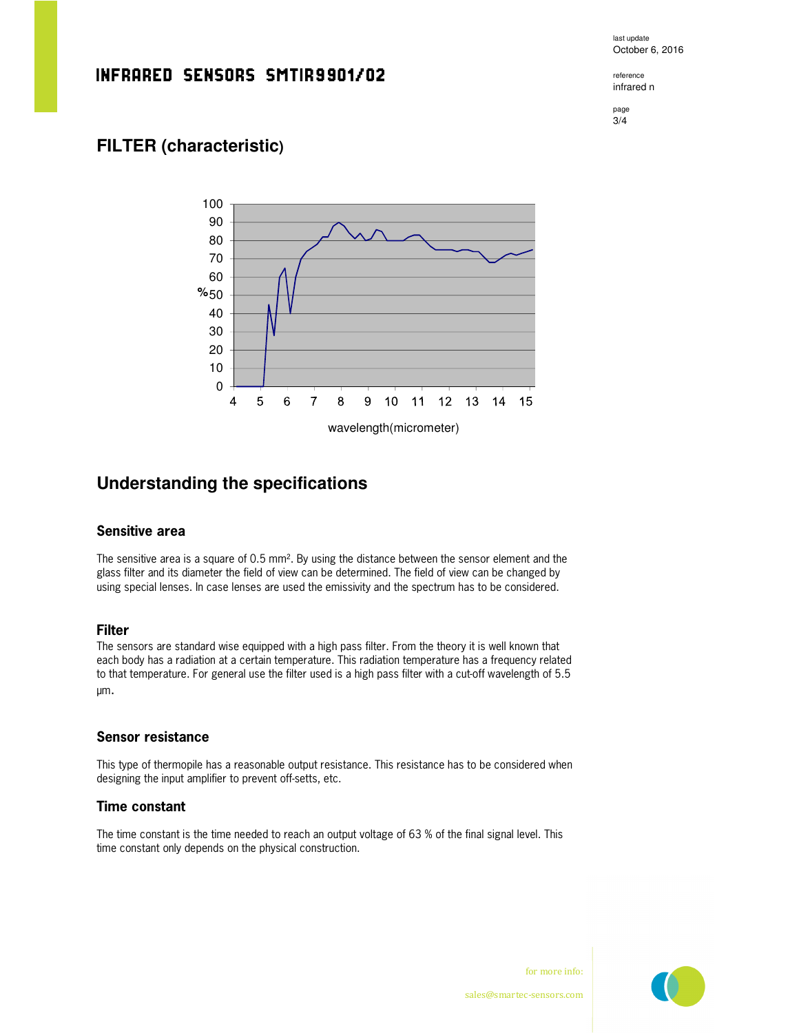last update October 6, 2016

### INFRARED SENSORS SMTIR9901/02

reference infrared n

page 3/4

# **FILTER (characteristic)**



# **Understanding the specifications**

#### **Sensitive area**

The sensitive area is a square of 0.5 mm<sup>2</sup>. By using the distance between the sensor element and the glass filter and its diameter the field of view can be determined. The field of view can be changed by using special lenses. In case lenses are used the emissivity and the spectrum has to be considered.

#### **Filter**

The sensors are standard wise equipped with a high pass filter. From the theory it is well known that each body has a radiation at a certain temperature. This radiation temperature has a frequency related to that temperature. For general use the filter used is a high pass filter with a cut-off wavelength of 5.5 µm.

#### **Sensor resistance**

This type of thermopile has a reasonable output resistance. This resistance has to be considered when designing the input amplifier to prevent off-setts, etc.

### **Time constant**

The time constant is the time needed to reach an output voltage of 63 % of the final signal level. This time constant only depends on the physical construction.

for more info: